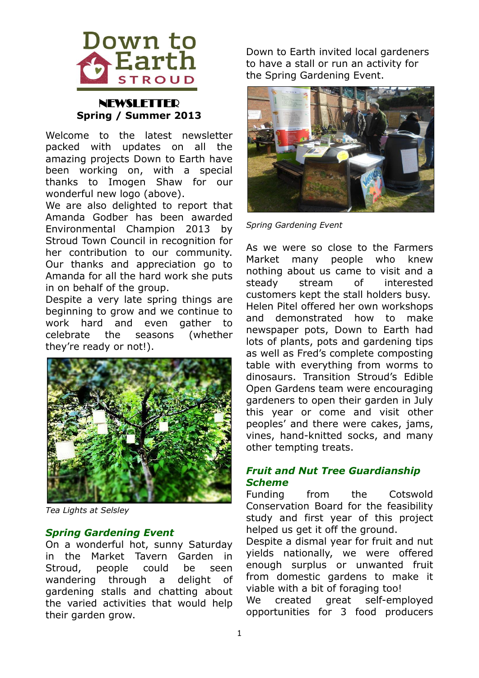

# **NEWSLETTER Spring / Summer 2013**

Welcome to the latest newsletter packed with updates on all the amazing projects Down to Earth have been working on, with a special thanks to Imogen Shaw for our wonderful new logo (above).

We are also delighted to report that Amanda Godber has been awarded Environmental Champion 2013 by Stroud Town Council in recognition for her contribution to our community. Our thanks and appreciation go to Amanda for all the hard work she puts in on behalf of the group.

Despite a very late spring things are beginning to grow and we continue to work hard and even gather to celebrate the seasons (whether they're ready or not!).



*Tea Lights at Selsley*

## *Spring Gardening Event*

On a wonderful hot, sunny Saturday in the Market Tavern Garden in Stroud, people could be seen wandering through a delight of gardening stalls and chatting about the varied activities that would help their garden grow.

Down to Earth invited local gardeners to have a stall or run an activity for the Spring Gardening Event.



*Spring Gardening Event*

As we were so close to the Farmers Market many people who knew nothing about us came to visit and a steady stream of interested customers kept the stall holders busy. Helen Pitel offered her own workshops and demonstrated how to make newspaper pots, Down to Earth had lots of plants, pots and gardening tips as well as Fred's complete composting table with everything from worms to dinosaurs. Transition Stroud's Edible Open Gardens team were encouraging gardeners to open their garden in July this year or come and visit other peoples' and there were cakes, jams, vines, hand-knitted socks, and many other tempting treats.

# *Fruit and Nut Tree Guardianship Scheme*

Funding from the Cotswold Conservation Board for the feasibility study and first year of this project helped us get it off the ground.

Despite a dismal year for fruit and nut yields nationally, we were offered enough surplus or unwanted fruit from domestic gardens to make it viable with a bit of foraging too! We created great self-employed opportunities for 3 food producers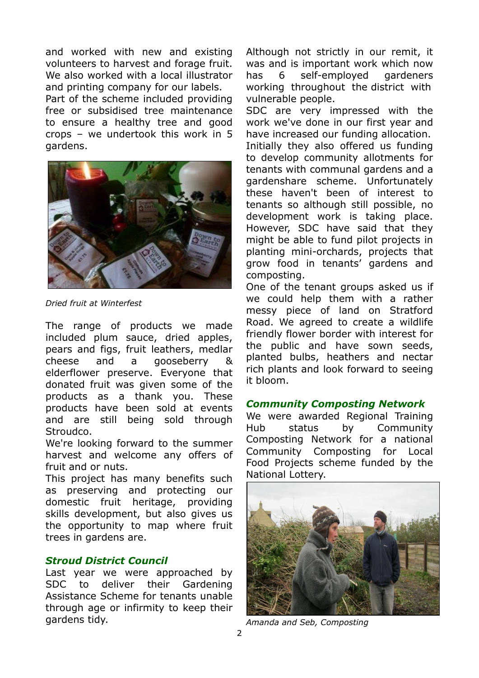and worked with new and existing volunteers to harvest and forage fruit. We also worked with a local illustrator and printing company for our labels.

Part of the scheme included providing free or subsidised tree maintenance to ensure a healthy tree and good crops – we undertook this work in 5 gardens.



*Dried fruit at Winterfest*

The range of products we made included plum sauce, dried apples, pears and figs, fruit leathers, medlar cheese and a gooseberry & elderflower preserve. Everyone that donated fruit was given some of the products as a thank you. These products have been sold at events and are still being sold through Stroudco.

We're looking forward to the summer harvest and welcome any offers of fruit and or nuts.

This project has many benefits such as preserving and protecting our domestic fruit heritage, providing skills development, but also gives us the opportunity to map where fruit trees in gardens are.

# *Stroud District Council*

Last year we were approached by SDC to deliver their Gardening Assistance Scheme for tenants unable through age or infirmity to keep their gardens tidy.

Although not strictly in our remit, it was and is important work which now has 6 self-employed gardeners working throughout the district with vulnerable people.

SDC are very impressed with the work we've done in our first year and have increased our funding allocation. Initially they also offered us funding to develop community allotments for tenants with communal gardens and a gardenshare scheme. Unfortunately these haven't been of interest to tenants so although still possible, no development work is taking place. However, SDC have said that they might be able to fund pilot projects in planting mini-orchards, projects that grow food in tenants' gardens and composting.

One of the tenant groups asked us if we could help them with a rather messy piece of land on Stratford Road. We agreed to create a wildlife friendly flower border with interest for the public and have sown seeds, planted bulbs, heathers and nectar rich plants and look forward to seeing it bloom.

## *Community Composting Network*

We were awarded Regional Training Hub status by Community Composting Network for a national Community Composting for Local Food Projects scheme funded by the National Lottery.



*Amanda and Seb, Composting*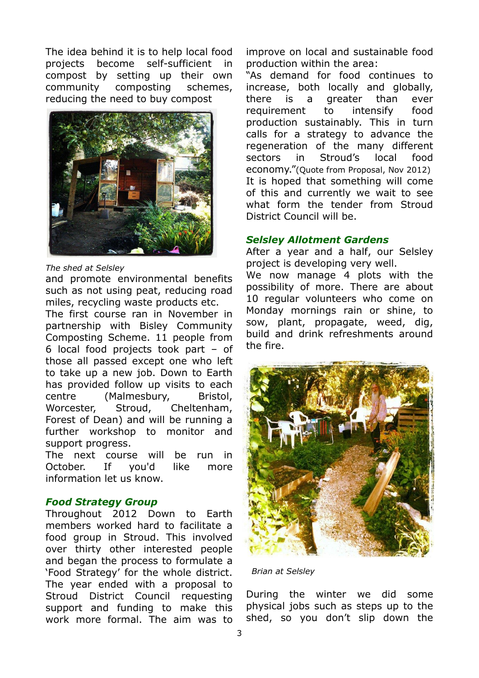The idea behind it is to help local food projects become self-sufficient in compost by setting up their own community composting schemes, reducing the need to buy compost



#### *The shed at Selsley*

and promote environmental benefits such as not using peat, reducing road miles, recycling waste products etc.

The first course ran in November in partnership with Bisley Community Composting Scheme. 11 people from 6 local food projects took part – of those all passed except one who left to take up a new job. Down to Earth has provided follow up visits to each centre (Malmesbury, Bristol, Worcester, Stroud, Cheltenham, Forest of Dean) and will be running a further workshop to monitor and support progress.

The next course will be run in October. If you'd like more information let us know.

## *Food Strategy Group*

Throughout 2012 Down to Earth members worked hard to facilitate a food group in Stroud. This involved over thirty other interested people and began the process to formulate a 'Food Strategy' for the whole district. The year ended with a proposal to Stroud District Council requesting support and funding to make this work more formal. The aim was to

improve on local and sustainable food production within the area:

"As demand for food continues to increase, both locally and globally, there is a greater than ever requirement to intensify food production sustainably. This in turn calls for a strategy to advance the regeneration of the many different sectors in Stroud's local food economy."(Quote from Proposal, Nov 2012) It is hoped that something will come of this and currently we wait to see what form the tender from Stroud District Council will be.

### *Selsley Allotment Gardens*

After a year and a half, our Selsley project is developing very well.

We now manage 4 plots with the possibility of more. There are about 10 regular volunteers who come on Monday mornings rain or shine, to sow, plant, propagate, weed, dig, build and drink refreshments around the fire.



 *Brian at Selsley*

During the winter we did some physical jobs such as steps up to the shed, so you don't slip down the